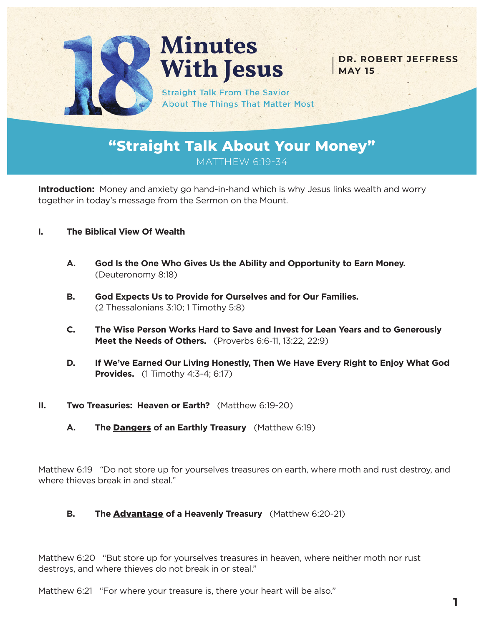

# **Minutes With Jesus**

**DR. ROBERT JEFFRESS MAY 15**

**Straight Talk From The Savior About The Things That Matter Most** 

**"Straight Talk About Your Money"** MATTHEW 6:19-34

**Introduction:** Money and anxiety go hand-in-hand which is why Jesus links wealth and worry together in today's message from the Sermon on the Mount.

- **I. The Biblical View Of Wealth**
	- **A. God Is the One Who Gives Us the Ability and Opportunity to Earn Money.**  (Deuteronomy 8:18)
	- **B. God Expects Us to Provide for Ourselves and for Our Families.**  (2 Thessalonians 3:10; 1 Timothy 5:8)
	- **C. The Wise Person Works Hard to Save and Invest for Lean Years and to Generously Meet the Needs of Others.** (Proverbs 6:6-11, 13:22, 22:9)
	- **D. If We've Earned Our Living Honestly, Then We Have Every Right to Enjoy What God Provides.** (1 Timothy 4:3-4; 6:17)
- **II. Two Treasuries: Heaven or Earth?** (Matthew 6:19-20)
	- **A. The** Dangers **of an Earthly Treasury** (Matthew 6:19)

Matthew 6:19 "Do not store up for yourselves treasures on earth, where moth and rust destroy, and where thieves break in and steal."

**B. The** Advantage **of a Heavenly Treasury** (Matthew 6:20-21)

Matthew 6:20 "But store up for yourselves treasures in heaven, where neither moth nor rust destroys, and where thieves do not break in or steal."

Matthew 6:21 "For where your treasure is, there your heart will be also."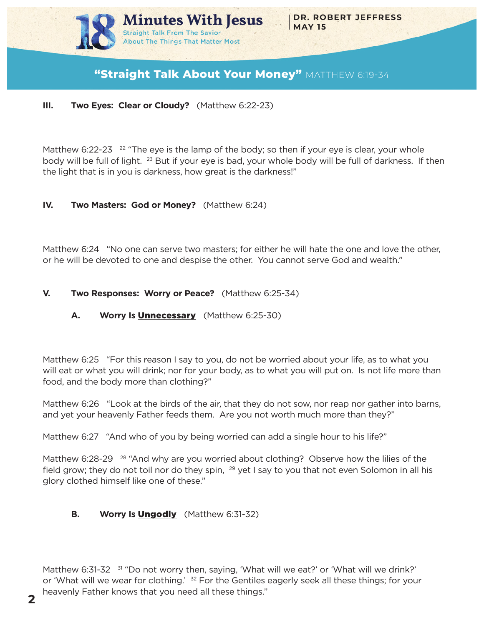

# **"Straight Talk About Your Money"** MATTHEW 6:19-34

### **III. Two Eyes: Clear or Cloudy?** (Matthew 6:22-23)

Matthew 6:22-23  $22$  "The eye is the lamp of the body; so then if your eye is clear, your whole body will be full of light. <sup>23</sup> But if your eye is bad, your whole body will be full of darkness. If then the light that is in you is darkness, how great is the darkness!"

## **IV. Two Masters: God or Money?** (Matthew 6:24)

Matthew 6:24 "No one can serve two masters; for either he will hate the one and love the other, or he will be devoted to one and despise the other. You cannot serve God and wealth."

## **V. Two Responses: Worry or Peace?** (Matthew 6:25-34)

# **A. Worry Is** Unnecessary (Matthew 6:25-30)

Matthew 6:25 "For this reason I say to you, do not be worried about your life, as to what you will eat or what you will drink; nor for your body, as to what you will put on. Is not life more than food, and the body more than clothing?"

Matthew 6:26 "Look at the birds of the air, that they do not sow, nor reap nor gather into barns, and yet your heavenly Father feeds them. Are you not worth much more than they?"

Matthew 6:27 "And who of you by being worried can add a single hour to his life?"

Matthew 6:28-29 <sup>28</sup> "And why are you worried about clothing? Observe how the lilies of the field grow; they do not toil nor do they spin,  $^{29}$  yet I say to you that not even Solomon in all his glory clothed himself like one of these."

# **B. Worry Is** Ungodly (Matthew 6:31-32)

Matthew 6:31-32 <sup>31</sup> "Do not worry then, saying, 'What will we eat?' or 'What will we drink?' or 'What will we wear for clothing.'  $32$  For the Gentiles eagerly seek all these things; for your heavenly Father knows that you need all these things."